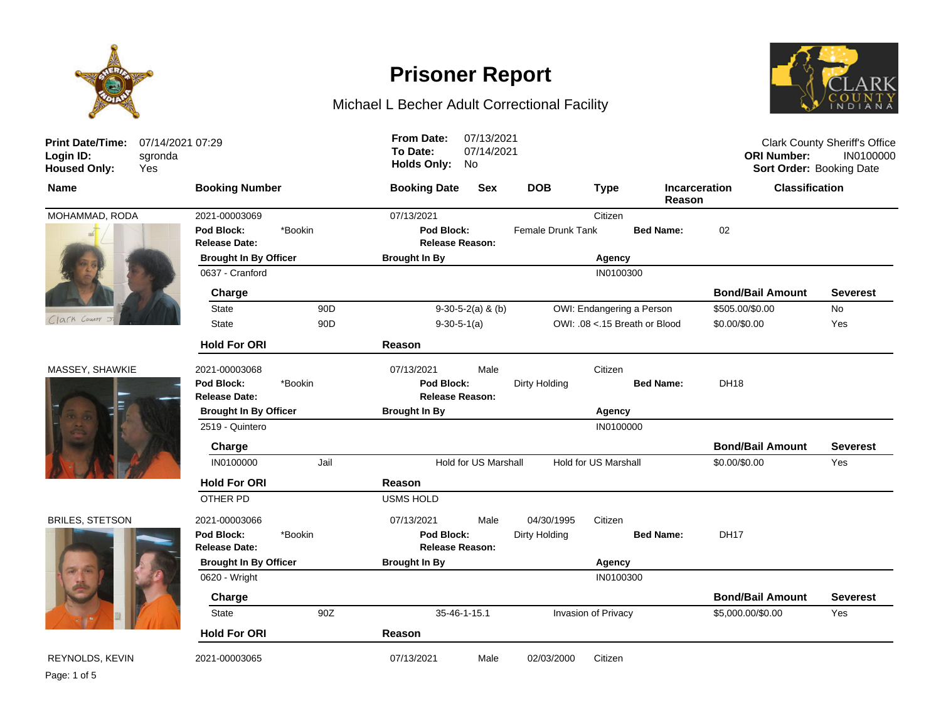

# **Prisoner Report**

### Michael L Becher Adult Correctional Facility



| <b>Print Date/Time:</b><br>Login ID:<br><b>Housed Only:</b> | 07/14/2021 07:29<br>sgronda<br>Yes |                                    |                 | <b>From Date:</b><br>To Date:<br><b>Holds Only:</b> | 07/13/2021<br>07/14/2021<br>No |                           |                      |                               | <b>ORI Number:</b>      | <b>Clark County Sheriff's Office</b><br>IN0100000<br>Sort Order: Booking Date |  |
|-------------------------------------------------------------|------------------------------------|------------------------------------|-----------------|-----------------------------------------------------|--------------------------------|---------------------------|----------------------|-------------------------------|-------------------------|-------------------------------------------------------------------------------|--|
| <b>Name</b>                                                 |                                    | <b>Booking Number</b>              |                 | <b>Booking Date</b>                                 | Sex                            | <b>DOB</b>                | <b>Type</b>          | Reason                        | <b>Incarceration</b>    | <b>Classification</b>                                                         |  |
| MOHAMMAD, RODA                                              |                                    | 2021-00003069                      |                 | 07/13/2021                                          |                                |                           | Citizen              |                               |                         |                                                                               |  |
|                                                             |                                    | Pod Block:<br><b>Release Date:</b> | *Bookin         | Pod Block:<br><b>Release Reason:</b>                |                                | <b>Female Drunk Tank</b>  |                      | <b>Bed Name:</b>              | 02                      |                                                                               |  |
|                                                             |                                    | <b>Brought In By Officer</b>       |                 | <b>Brought In By</b>                                |                                | Agency                    |                      |                               |                         |                                                                               |  |
|                                                             |                                    | 0637 - Cranford                    |                 |                                                     |                                |                           | IN0100300            |                               |                         |                                                                               |  |
|                                                             |                                    | Charge                             |                 |                                                     |                                |                           |                      |                               | <b>Bond/Bail Amount</b> | Severest                                                                      |  |
|                                                             |                                    | <b>State</b><br>90 <sub>D</sub>    |                 | $9-30-5-2(a)$ & (b)                                 |                                | OWI: Endangering a Person |                      |                               | \$505.00/\$0.00         | <b>No</b>                                                                     |  |
| Clark County                                                |                                    | <b>State</b>                       | 90 <sub>D</sub> | $9-30-5-1(a)$                                       |                                |                           |                      | OWI: .08 <.15 Breath or Blood | \$0.00/\$0.00           | Yes                                                                           |  |
|                                                             |                                    | <b>Hold For ORI</b>                |                 | Reason                                              |                                |                           |                      |                               |                         |                                                                               |  |
| MASSEY, SHAWKIE                                             |                                    | 2021-00003068                      |                 | 07/13/2021                                          | Male                           |                           | Citizen              |                               |                         |                                                                               |  |
|                                                             |                                    | Pod Block:<br><b>Release Date:</b> | *Bookin         | Pod Block:<br><b>Release Reason:</b>                |                                | Dirty Holding             |                      | <b>Bed Name:</b>              | <b>DH18</b>             |                                                                               |  |
|                                                             |                                    | <b>Brought In By Officer</b>       |                 | <b>Brought In By</b>                                |                                |                           | Agency               |                               |                         |                                                                               |  |
|                                                             |                                    | 2519 - Quintero                    |                 |                                                     |                                |                           | IN0100000            |                               |                         |                                                                               |  |
|                                                             |                                    | Charge                             |                 |                                                     |                                |                           |                      |                               | <b>Bond/Bail Amount</b> | <b>Severest</b>                                                               |  |
|                                                             |                                    | IN0100000                          | Jail            |                                                     | Hold for US Marshall           |                           | Hold for US Marshall |                               | \$0.00/\$0.00           | Yes                                                                           |  |
|                                                             |                                    | <b>Hold For ORI</b>                |                 | Reason                                              |                                |                           |                      |                               |                         |                                                                               |  |
|                                                             |                                    | OTHER PD                           |                 | <b>USMS HOLD</b>                                    |                                |                           |                      |                               |                         |                                                                               |  |
| <b>BRILES, STETSON</b>                                      |                                    | 2021-00003066                      |                 | 07/13/2021                                          | Male                           | 04/30/1995                | Citizen              |                               |                         |                                                                               |  |
|                                                             |                                    | Pod Block:<br><b>Release Date:</b> | *Bookin         | Pod Block:<br><b>Release Reason:</b>                |                                | Dirty Holding             |                      | <b>Bed Name:</b>              | <b>DH17</b>             |                                                                               |  |
|                                                             |                                    | <b>Brought In By Officer</b>       |                 | <b>Brought In By</b>                                |                                | Agency                    |                      |                               |                         |                                                                               |  |
|                                                             |                                    | 0620 - Wright                      |                 |                                                     |                                |                           | IN0100300            |                               |                         |                                                                               |  |
|                                                             |                                    | Charge                             |                 |                                                     |                                |                           |                      |                               | <b>Bond/Bail Amount</b> | <b>Severest</b>                                                               |  |
|                                                             |                                    | <b>State</b>                       | 90Z             |                                                     | 35-46-1-15.1                   |                           | Invasion of Privacy  |                               | \$5,000.00/\$0.00       | Yes                                                                           |  |
|                                                             |                                    | <b>Hold For ORI</b>                |                 | Reason                                              |                                |                           |                      |                               |                         |                                                                               |  |
| REYNOLDS, KEVIN                                             |                                    | 2021-00003065                      |                 | 07/13/2021                                          | Male                           | 02/03/2000                | Citizen              |                               |                         |                                                                               |  |

Page: 1 of 5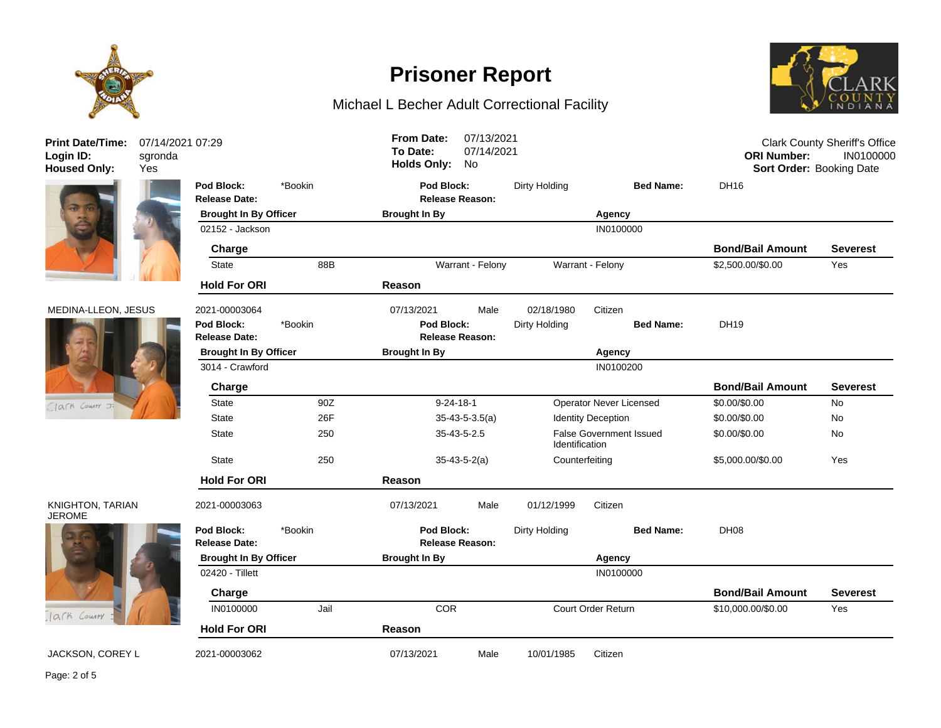

## **Prisoner Report**

### Michael L Becher Adult Correctional Facility



**Release Date: Release Reason: Pod Block:** \*Bookin **Pod Block:** Dirty Holding **Bed Name:** DH16 **Brought In By Officer Brought In By Agency** 02152 - Jackson IN0100000 - Inches Inches Inches Inches Inches Inches Inches Inches Inches Inches Inches Inches **Charge Bond/Bail Amount Severest** State 88B 88B Warrant - Felony Warrant - Felony S2,500.00/\$0.00 Yes **Hold For ORI Reason** MEDINA-LLEON, JESUS 2021-00003064 07/13/2021 Male 02/18/1980 Citizen **Release Date: Release Reason: Pod Block:** \*Bookin **Pod Block:** Dirty Holding **Bed Name:** DH19 **Brought In By Officer Brought In By Agency** 3014 - Crawford IN0100200 **Charge Bond/Bail Amount Severest** State 90Z 9-24-18-1 Deperator Never Licensed \$0.00/\$0.00 No State 26F 26F 35-43-5-3.5(a) Identity Deception \$0.00/\$0.00 No State 250 35-43-5-2.5 False Government Issued Identification \$0.00/\$0.00 No State 250 35-43-5-2(a) Counterfeiting \$5,000.00/\$0.00 Yes **Hold For ORI Reason** 2021-00003063 07/13/2021 Male 01/12/1999 Citizen **Release Date: Release Reason: Pod Block:** \*Bookin **Pod Block:** Dirty Holding **Bed Name:** DH08 **Brought In By Officer Brought In By Agency** 02420 - Tillett IN0100000 **IN0100000 Charge Bond/Bail Amount Severest** IN0100000 Jail COR Court Order Return \$10,000.00/\$0.00 Yes **Hold For ORI Reason** JACKSON, COREY L 2021-00003062 07/13/2021 Male 10/01/1985 Citizen 07/14/2021 07:29 sgronda Clark County Sheriff's Office **ORI Number:** IN0100000 **Housed Only:** Yes **Holds Only:** No **Sort Order:** Booking Date **To Date:** 07/14/2021 **From Date:** 07/13/2021



**Print Date/Time: Login ID:**





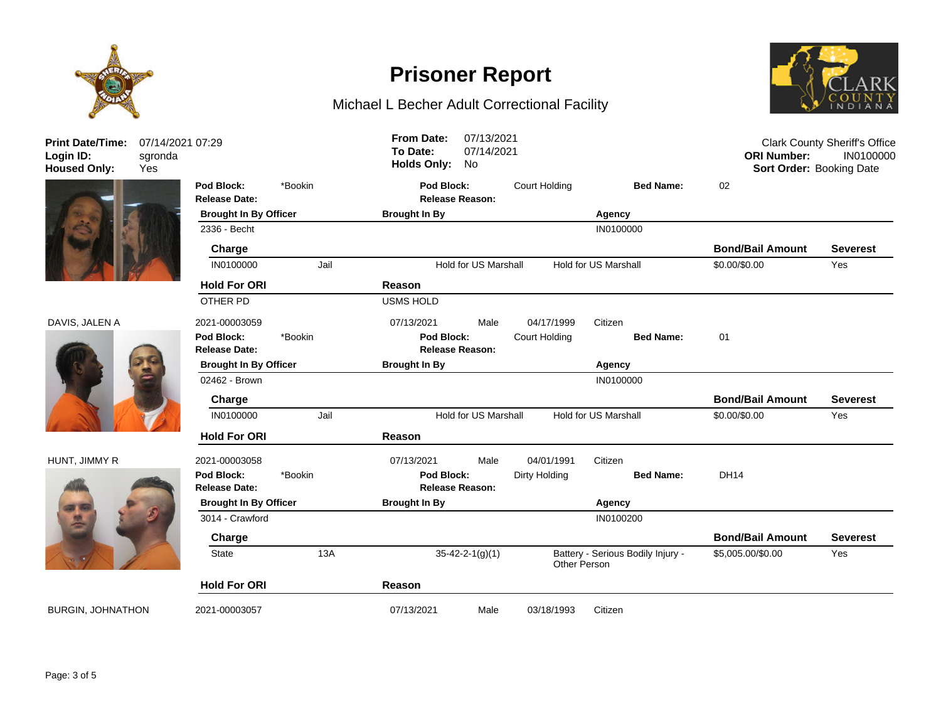



### DAVIS, JALEN A 20



#### HUNT, JIMMY R 20



| <b>Print Date/Time:</b><br>Login ID:<br><b>Housed Only:</b> | 07/14/2021 07:29<br>sgronda<br>Yes |                                    | 07/13/2021<br><b>From Date:</b><br>To Date:<br>07/14/2021<br><b>Holds Only:</b><br>No |                                                            |                        | <b>Clark County Sheriff's Office</b><br><b>ORI Number:</b><br>IN0100000<br>Sort Order: Booking Date |                                   |                         |                 |
|-------------------------------------------------------------|------------------------------------|------------------------------------|---------------------------------------------------------------------------------------|------------------------------------------------------------|------------------------|-----------------------------------------------------------------------------------------------------|-----------------------------------|-------------------------|-----------------|
|                                                             |                                    | Pod Block:                         | *Bookin                                                                               | Pod Block:                                                 |                        | Court Holding                                                                                       | <b>Bed Name:</b>                  | 02                      |                 |
|                                                             |                                    | <b>Release Date:</b>               |                                                                                       |                                                            | <b>Release Reason:</b> |                                                                                                     |                                   |                         |                 |
|                                                             |                                    | <b>Brought In By Officer</b>       |                                                                                       | <b>Brought In By</b>                                       |                        |                                                                                                     | Agency                            |                         |                 |
|                                                             |                                    | 2336 - Becht                       |                                                                                       |                                                            |                        |                                                                                                     | IN0100000                         |                         |                 |
|                                                             |                                    | Charge                             |                                                                                       |                                                            |                        |                                                                                                     |                                   | <b>Bond/Bail Amount</b> | <b>Severest</b> |
|                                                             |                                    | IN0100000                          | Jail                                                                                  | <b>Hold for US Marshall</b><br><b>Hold for US Marshall</b> |                        |                                                                                                     |                                   | \$0.00/\$0.00           | Yes             |
|                                                             |                                    | <b>Hold For ORI</b>                |                                                                                       | Reason                                                     |                        |                                                                                                     |                                   |                         |                 |
|                                                             |                                    | OTHER PD                           |                                                                                       | <b>USMS HOLD</b>                                           |                        |                                                                                                     |                                   |                         |                 |
| DAVIS, JALEN A                                              |                                    | 2021-00003059                      |                                                                                       | 07/13/2021                                                 | Male                   | 04/17/1999                                                                                          | Citizen                           |                         |                 |
|                                                             |                                    | Pod Block:<br><b>Release Date:</b> | *Bookin                                                                               | Pod Block:                                                 | Release Reason:        | Court Holding                                                                                       | <b>Bed Name:</b>                  | 01                      |                 |
|                                                             |                                    | <b>Brought In By Officer</b>       |                                                                                       | <b>Brought In By</b>                                       |                        |                                                                                                     | Agency                            |                         |                 |
|                                                             |                                    | 02462 - Brown                      |                                                                                       |                                                            |                        |                                                                                                     | IN0100000                         |                         |                 |
|                                                             |                                    | Charge                             |                                                                                       |                                                            |                        |                                                                                                     |                                   | <b>Bond/Bail Amount</b> | <b>Severest</b> |
|                                                             |                                    | IN0100000                          | Jail                                                                                  | Hold for US Marshall<br><b>Hold for US Marshall</b>        |                        |                                                                                                     | \$0.00/\$0.00                     | Yes                     |                 |
|                                                             |                                    | <b>Hold For ORI</b>                |                                                                                       | Reason                                                     |                        |                                                                                                     |                                   |                         |                 |
| HUNT, JIMMY R                                               |                                    | 2021-00003058                      |                                                                                       | 07/13/2021                                                 | Male                   | 04/01/1991                                                                                          | Citizen                           |                         |                 |
|                                                             |                                    | Pod Block:                         | *Bookin                                                                               | Pod Block:                                                 |                        | Dirty Holding                                                                                       | <b>Bed Name:</b>                  | <b>DH14</b>             |                 |
|                                                             |                                    | <b>Release Date:</b>               |                                                                                       |                                                            | <b>Release Reason:</b> |                                                                                                     |                                   |                         |                 |
|                                                             |                                    | <b>Brought In By Officer</b>       |                                                                                       | <b>Brought In By</b>                                       |                        |                                                                                                     | Agency                            |                         |                 |
|                                                             |                                    | 3014 - Crawford                    |                                                                                       |                                                            |                        |                                                                                                     | IN0100200                         |                         |                 |
|                                                             |                                    | Charge                             |                                                                                       |                                                            |                        |                                                                                                     |                                   | <b>Bond/Bail Amount</b> | <b>Severest</b> |
|                                                             |                                    | State                              | 13A                                                                                   | $35 - 42 - 2 - 1(g)(1)$                                    |                        | Other Person                                                                                        | Battery - Serious Bodily Injury - | \$5,005.00/\$0.00       | Yes             |
|                                                             |                                    | <b>Hold For ORI</b>                |                                                                                       | Reason                                                     |                        |                                                                                                     |                                   |                         |                 |
| <b>BURGIN, JOHNATHON</b>                                    |                                    | 2021-00003057                      |                                                                                       | 07/13/2021                                                 | Male                   | 03/18/1993                                                                                          | Citizen                           |                         |                 |

**Prisoner Report**

Michael L Becher Adult Correctional Facility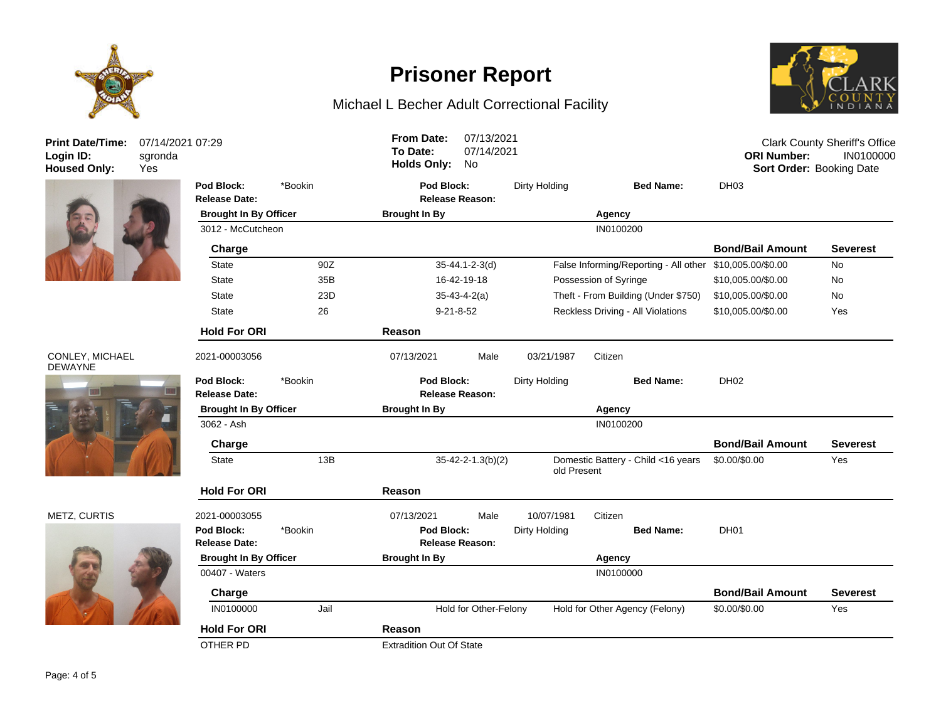

# **Prisoner Report**

### Michael L Becher Adult Correctional Facility



| <b>Print Date/Time:</b><br>Login ID:<br><b>Housed Only:</b> | 07/14/2021 07:29<br>sgronda<br>Yes |                                                                                                    |         | <b>From Date:</b><br>To Date:<br><b>Holds Only:</b>          | 07/13/2021<br>07/14/2021<br>No |                                   |                                                          | <b>ORI Number:</b><br>Sort Order: Booking Date | <b>Clark County Sheriff's Office</b><br>IN0100000 |
|-------------------------------------------------------------|------------------------------------|----------------------------------------------------------------------------------------------------|---------|--------------------------------------------------------------|--------------------------------|-----------------------------------|----------------------------------------------------------|------------------------------------------------|---------------------------------------------------|
|                                                             |                                    | Pod Block:<br>*Bookin<br><b>Release Date:</b><br><b>Brought In By Officer</b><br>3012 - McCutcheon |         | Pod Block:<br><b>Release Reason:</b><br><b>Brought In By</b> |                                | Dirty Holding<br><b>Bed Name:</b> |                                                          | DH <sub>03</sub>                               |                                                   |
|                                                             |                                    |                                                                                                    |         |                                                              |                                |                                   | Agency                                                   |                                                |                                                   |
|                                                             |                                    |                                                                                                    |         |                                                              |                                |                                   | IN0100200                                                |                                                |                                                   |
|                                                             |                                    | Charge                                                                                             |         |                                                              |                                |                                   |                                                          | <b>Bond/Bail Amount</b>                        | <b>Severest</b>                                   |
|                                                             |                                    | <b>State</b>                                                                                       | 90Z     |                                                              | $35 - 44.1 - 2 - 3(d)$         |                                   | False Informing/Reporting - All other \$10,005.00/\$0.00 |                                                | <b>No</b>                                         |
|                                                             |                                    | <b>State</b>                                                                                       | 35B     | 16-42-19-18                                                  |                                |                                   | Possession of Syringe                                    | \$10,005.00/\$0.00                             | <b>No</b>                                         |
|                                                             |                                    | <b>State</b>                                                                                       | 23D     | $35 - 43 - 4 - 2(a)$                                         |                                |                                   | Theft - From Building (Under \$750)                      | \$10,005.00/\$0.00                             | <b>No</b>                                         |
|                                                             |                                    | <b>State</b>                                                                                       | 26      | $9 - 21 - 8 - 52$                                            |                                |                                   | Reckless Driving - All Violations                        | \$10,005.00/\$0.00                             | Yes                                               |
|                                                             |                                    | <b>Hold For ORI</b>                                                                                |         | Reason                                                       |                                |                                   |                                                          |                                                |                                                   |
| CONLEY, MICHAEL<br><b>DEWAYNE</b>                           |                                    | 2021-00003056                                                                                      |         | 07/13/2021                                                   | Male                           | 03/21/1987                        | Citizen                                                  |                                                |                                                   |
| 暖田                                                          |                                    | Pod Block:<br><b>Release Date:</b>                                                                 | *Bookin | Pod Block:                                                   | <b>Release Reason:</b>         | Dirty Holding                     | <b>Bed Name:</b>                                         | DH02                                           |                                                   |
|                                                             |                                    | <b>Brought In By Officer</b>                                                                       |         | <b>Brought In By</b>                                         |                                | Agency                            |                                                          |                                                |                                                   |
|                                                             |                                    | 3062 - Ash                                                                                         |         |                                                              |                                |                                   | IN0100200                                                |                                                |                                                   |
|                                                             |                                    | Charge                                                                                             |         |                                                              |                                |                                   |                                                          | <b>Bond/Bail Amount</b>                        | <b>Severest</b>                                   |
|                                                             |                                    | <b>State</b>                                                                                       | 13B     |                                                              | $35 - 42 - 2 - 1.3(b)(2)$      | old Present                       | Domestic Battery - Child <16 years                       | \$0.00/\$0.00                                  | Yes                                               |
|                                                             |                                    | <b>Hold For ORI</b>                                                                                |         | Reason                                                       |                                |                                   |                                                          |                                                |                                                   |
| METZ, CURTIS                                                |                                    | 2021-00003055                                                                                      |         | 07/13/2021                                                   | Male                           | 10/07/1981                        | Citizen                                                  |                                                |                                                   |
|                                                             |                                    | Pod Block:                                                                                         | *Bookin | Pod Block:                                                   |                                | Dirty Holding                     | <b>Bed Name:</b>                                         | DH <sub>01</sub>                               |                                                   |
|                                                             |                                    | <b>Release Date:</b>                                                                               |         | Release Reason:                                              |                                |                                   |                                                          |                                                |                                                   |
|                                                             |                                    | <b>Brought In By Officer</b>                                                                       |         | <b>Brought In By</b>                                         |                                |                                   | Agency                                                   |                                                |                                                   |
|                                                             |                                    | 00407 - Waters                                                                                     |         |                                                              |                                |                                   | IN0100000                                                |                                                |                                                   |
|                                                             |                                    | Charge                                                                                             |         |                                                              |                                |                                   |                                                          | <b>Bond/Bail Amount</b>                        | <b>Severest</b>                                   |
|                                                             |                                    | IN0100000                                                                                          | Jail    |                                                              | Hold for Other-Felony          |                                   | Hold for Other Agency (Felony)                           | \$0.00/\$0.00                                  | Yes                                               |
|                                                             |                                    | <b>Hold For ORI</b>                                                                                |         | Reason                                                       |                                |                                   |                                                          |                                                |                                                   |
|                                                             |                                    | OTHER PD                                                                                           |         | <b>Extradition Out Of State</b>                              |                                |                                   |                                                          |                                                |                                                   |